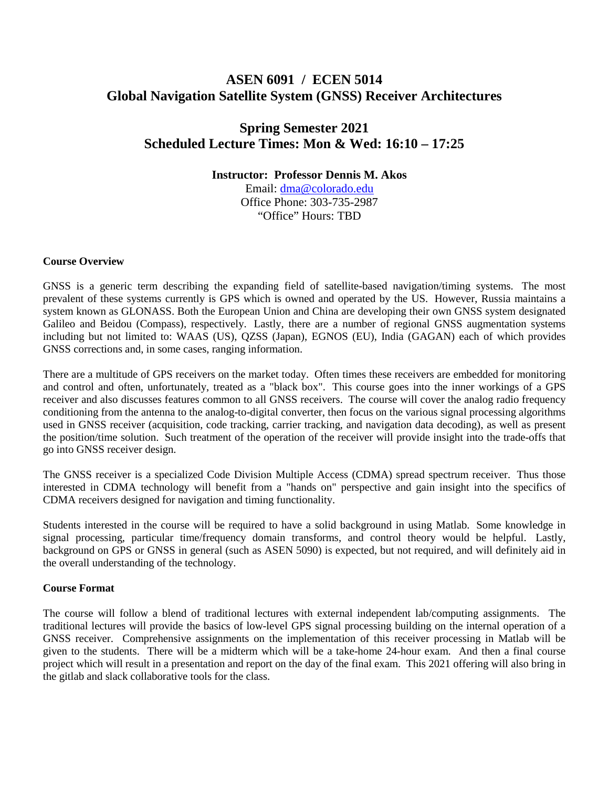# **ASEN 6091 / ECEN 5014 Global Navigation Satellite System (GNSS) Receiver Architectures**

# **Spring Semester 2021 Scheduled Lecture Times: Mon & Wed: 16:10 – 17:25**

**Instructor: Professor Dennis M. Akos**

Email: [dma@colorado.edu](mailto:dma@colorado.edu) Office Phone: 303-735-2987 "Office" Hours: TBD

### **Course Overview**

GNSS is a generic term describing the expanding field of satellite-based navigation/timing systems. The most prevalent of these systems currently is GPS which is owned and operated by the US. However, Russia maintains a system known as GLONASS. Both the European Union and China are developing their own GNSS system designated Galileo and Beidou (Compass), respectively. Lastly, there are a number of regional GNSS augmentation systems including but not limited to: WAAS (US), QZSS (Japan), EGNOS (EU), India (GAGAN) each of which provides GNSS corrections and, in some cases, ranging information.

There are a multitude of GPS receivers on the market today. Often times these receivers are embedded for monitoring and control and often, unfortunately, treated as a "black box". This course goes into the inner workings of a GPS receiver and also discusses features common to all GNSS receivers. The course will cover the analog radio frequency conditioning from the antenna to the analog-to-digital converter, then focus on the various signal processing algorithms used in GNSS receiver (acquisition, code tracking, carrier tracking, and navigation data decoding), as well as present the position/time solution. Such treatment of the operation of the receiver will provide insight into the trade-offs that go into GNSS receiver design.

The GNSS receiver is a specialized Code Division Multiple Access (CDMA) spread spectrum receiver. Thus those interested in CDMA technology will benefit from a "hands on" perspective and gain insight into the specifics of CDMA receivers designed for navigation and timing functionality.

Students interested in the course will be required to have a solid background in using Matlab. Some knowledge in signal processing, particular time/frequency domain transforms, and control theory would be helpful. Lastly, background on GPS or GNSS in general (such as ASEN 5090) is expected, but not required, and will definitely aid in the overall understanding of the technology.

### **Course Format**

The course will follow a blend of traditional lectures with external independent lab/computing assignments. The traditional lectures will provide the basics of low-level GPS signal processing building on the internal operation of a GNSS receiver. Comprehensive assignments on the implementation of this receiver processing in Matlab will be given to the students. There will be a midterm which will be a take-home 24-hour exam. And then a final course project which will result in a presentation and report on the day of the final exam. This 2021 offering will also bring in the gitlab and slack collaborative tools for the class.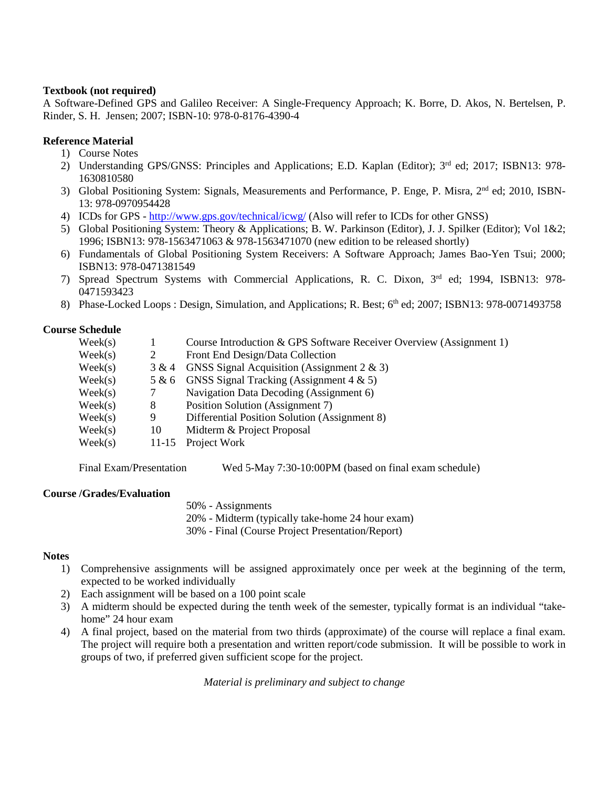### **Textbook (not required)**

A Software-Defined GPS and Galileo Receiver: A Single-Frequency Approach; K. Borre, D. Akos, N. Bertelsen, P. Rinder, S. H. Jensen; 2007; ISBN-10: 978-0-8176-4390-4

## **Reference Material**

- 1) Course Notes
- 2) Understanding GPS/GNSS: Principles and Applications; E.D. Kaplan (Editor); 3<sup>rd</sup> ed; 2017; ISBN13: 978-1630810580
- 3) Global Positioning System: Signals, Measurements and Performance, P. Enge, P. Misra, 2nd ed; 2010, ISBN-13: 978-0970954428
- 4) ICDs for GPS <http://www.gps.gov/technical/icwg/> (Also will refer to ICDs for other GNSS)
- 5) Global Positioning System: Theory & Applications; B. W. Parkinson (Editor), J. J. Spilker (Editor); Vol 1&2; 1996; ISBN13: 978-1563471063 & 978-1563471070 (new edition to be released shortly)
- 6) Fundamentals of Global Positioning System Receivers: A Software Approach; James Bao-Yen Tsui; 2000; ISBN13: 978-0471381549
- 7) Spread Spectrum Systems with Commercial Applications, R. C. Dixon, 3rd ed; 1994, ISBN13: 978- 0471593423
- 8) Phase-Locked Loops : Design, Simulation, and Applications; R. Best; 6<sup>th</sup> ed; 2007; ISBN13: 978-0071493758

## **Course Schedule**

| $\text{Week}(s)$ |       | Course Introduction & GPS Software Receiver Overview (Assignment 1) |
|------------------|-------|---------------------------------------------------------------------|
| $\text{Week}(s)$ |       | Front End Design/Data Collection                                    |
| $\text{Week}(s)$ | 3 & 4 | GNSS Signal Acquisition (Assignment $2 \& 3$ )                      |
| $\text{Week}(s)$ | 5 & 6 | GNSS Signal Tracking (Assignment $4 \& 5$ )                         |
| $\text{Week}(s)$ |       | Navigation Data Decoding (Assignment 6)                             |
| $\text{Week}(s)$ | 8     | Position Solution (Assignment 7)                                    |
| $\text{Week}(s)$ | 9     | Differential Position Solution (Assignment 8)                       |
| $\text{Week}(s)$ | 10    | Midterm & Project Proposal                                          |
| $\text{Week}(s)$ |       | 11-15 Project Work                                                  |

Final Exam/Presentation Wed 5-May 7:30-10:00PM (based on final exam schedule)

### **Course /Grades/Evaluation**

50% - Assignments 20% - Midterm (typically take-home 24 hour exam) 30% - Final (Course Project Presentation/Report)

### **Notes**

- 1) Comprehensive assignments will be assigned approximately once per week at the beginning of the term, expected to be worked individually
- 2) Each assignment will be based on a 100 point scale
- 3) A midterm should be expected during the tenth week of the semester, typically format is an individual "takehome" 24 hour exam
- 4) A final project, based on the material from two thirds (approximate) of the course will replace a final exam. The project will require both a presentation and written report/code submission. It will be possible to work in groups of two, if preferred given sufficient scope for the project.

*Material is preliminary and subject to change*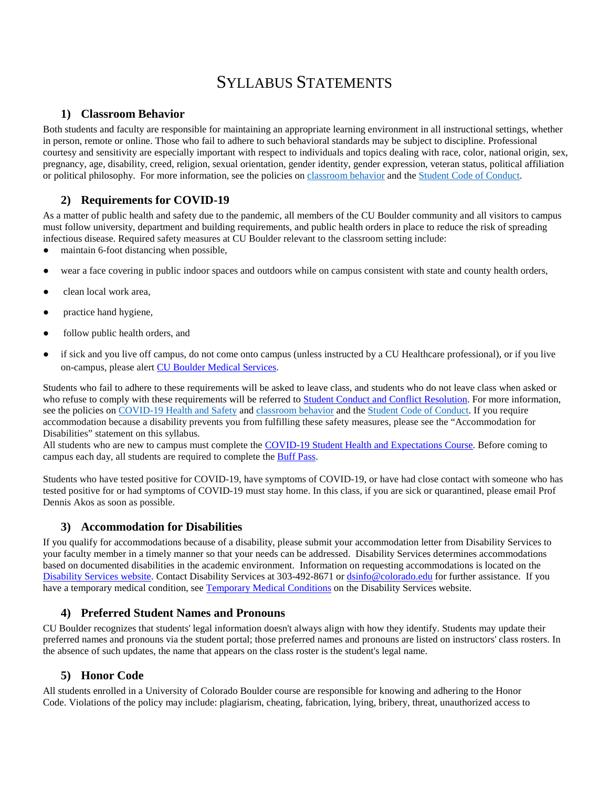# SYLLABUS STATEMENTS

## **1) Classroom Behavior**

Both students and faculty are responsible for maintaining an appropriate learning environment in all instructional settings, whether in person, remote or online. Those who fail to adhere to such behavioral standards may be subject to discipline. Professional courtesy and sensitivity are especially important with respect to individuals and topics dealing with race, color, national origin, sex, pregnancy, age, disability, creed, religion, sexual orientation, gender identity, gender expression, veteran status, political affiliation or political philosophy. For more information, see the policies on [classroom behavior](http://www.colorado.edu/policies/student-classroom-and-course-related-behavior) and the [Student Code of Conduct.](https://www.colorado.edu/sccr/sites/default/files/attached-files/2020-2021_student_code_of_conduct_0.pdf)

# **2) Requirements for COVID-19**

As a matter of public health and safety due to the pandemic, all members of the CU Boulder community and all visitors to campus must follow university, department and building requirements, and public health orders in place to reduce the risk of spreading infectious disease. Required safety measures at CU Boulder relevant to the classroom setting include:

- maintain 6-foot distancing when possible,
- wear a face covering in public indoor spaces and outdoors while on campus consistent with state and county health orders,
- clean local work area,
- practice hand hygiene,
- follow public health orders, and
- if sick and you live off campus, do not come onto campus (unless instructed by a CU Healthcare professional), or if you live on-campus, please alert [CU Boulder Medical Services.](https://www.colorado.edu/healthcenter/coronavirus-updates/symptoms-and-what-do-if-you-feel-sick)

Students who fail to adhere to these requirements will be asked to leave class, and students who do not leave class when asked or who refuse to comply with these requirements will be referred to [Student Conduct and Conflict Resolution.](https://www.colorado.edu/sccr/) For more information, see the policies on [COVID-19 Health and Safety](https://www.colorado.edu/policies/covid-19-health-and-safety-policy) and [classroom behavior](http://www.colorado.edu/policies/student-classroom-and-course-related-behavior) and the [Student Code of Conduct.](http://www.colorado.edu/osccr/) If you require accommodation because a disability prevents you from fulfilling these safety measures, please see the "Accommodation for Disabilities" statement on this syllabus.

All students who are new to campus must complete the [COVID-19 Student Health and Expectations Course.](https://www.colorado.edu/protect-our-herd/how#anchor1) Before coming to campus each day, all students are required to complete the [Buff Pass.](https://pass.colorado.edu/login) 

Students who have tested positive for COVID-19, have symptoms of COVID-19, or have had close contact with someone who has tested positive for or had symptoms of COVID-19 must stay home. In this class, if you are sick or quarantined, please email Prof Dennis Akos as soon as possible.

# **3) Accommodation for Disabilities**

If you qualify for accommodations because of a disability, please submit your accommodation letter from Disability Services to your faculty member in a timely manner so that your needs can be addressed. Disability Services determines accommodations based on documented disabilities in the academic environment. Information on requesting accommodations is located on the [Disability Services website.](https://www.colorado.edu/disabilityservices/) Contact Disability Services at 303-492-8671 o[r dsinfo@colorado.edu](mailto:dsinfo@colorado.edu) for further assistance. If you have a temporary medical condition, see [Temporary Medical Conditions](http://www.colorado.edu/disabilityservices/students/temporary-medical-conditions) on the Disability Services website.

# **4) Preferred Student Names and Pronouns**

CU Boulder recognizes that students' legal information doesn't always align with how they identify. Students may update their preferred names and pronouns via the student portal; those preferred names and pronouns are listed on instructors' class rosters. In the absence of such updates, the name that appears on the class roster is the student's legal name.

### **5) Honor Code**

All students enrolled in a University of Colorado Boulder course are responsible for knowing and adhering to the Honor Code. Violations of the policy may include: plagiarism, cheating, fabrication, lying, bribery, threat, unauthorized access to